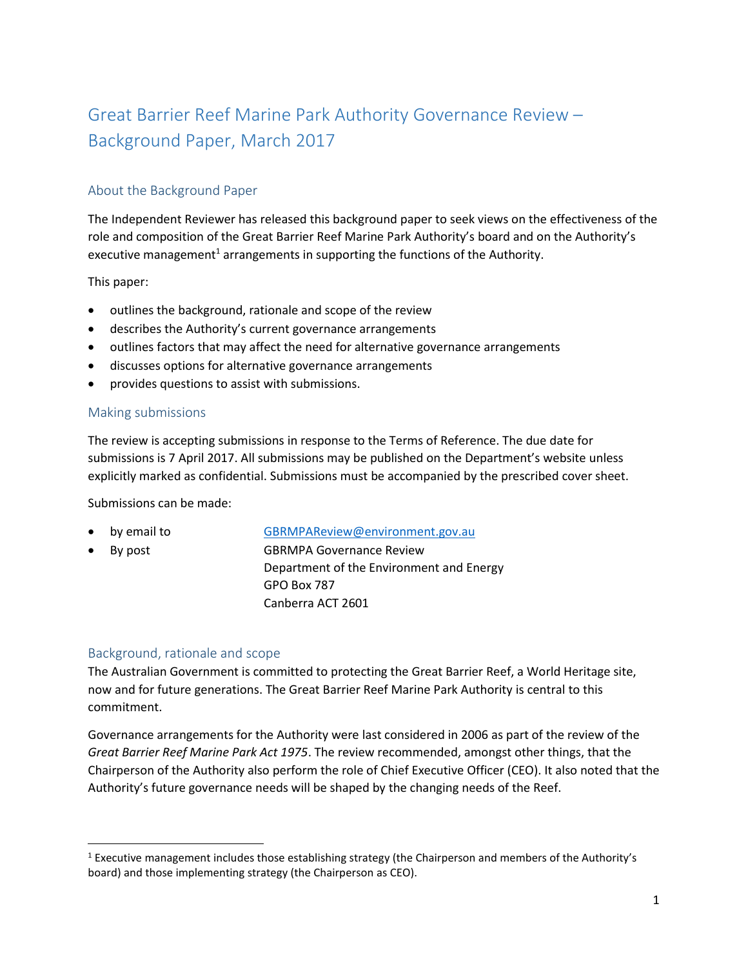# Great Barrier Reef Marine Park Authority Governance Review – Background Paper, March 2017

# About the Background Paper

The Independent Reviewer has released this background paper to seek views on the effectiveness of the role and composition of the Great Barrier Reef Marine Park Authority's board and on the Authority's executive management<sup>1</sup> arrangements in supporting the functions of the Authority.

This paper:

- outlines the background, rationale and scope of the review
- describes the Authority's current governance arrangements
- outlines factors that may affect the need for alternative governance arrangements
- discusses options for alternative governance arrangements
- provides questions to assist with submissions.

## Making submissions

The review is accepting submissions in response to the Terms of Reference. The due date for submissions is 7 April 2017. All submissions may be published on the Department's website unless explicitly marked as confidential. Submissions must be accompanied by the prescribed cover sheet.

Submissions can be made:

- by email to [GBRMPAReview@environment.gov.au](mailto:GBRMPAReview@environment.gov.au)
- 

l

By post GBRMPA Governance Review Department of the Environment and Energy GPO Box 787 Canberra ACT 2601

#### Background, rationale and scope

The Australian Government is committed to protecting the Great Barrier Reef, a World Heritage site, now and for future generations. The Great Barrier Reef Marine Park Authority is central to this commitment.

Governance arrangements for the Authority were last considered in 2006 as part of the review of the *Great Barrier Reef Marine Park Act 1975*. The review recommended, amongst other things, that the Chairperson of the Authority also perform the role of Chief Executive Officer (CEO). It also noted that the Authority's future governance needs will be shaped by the changing needs of the Reef.

<sup>&</sup>lt;sup>1</sup> Executive management includes those establishing strategy (the Chairperson and members of the Authority's board) and those implementing strategy (the Chairperson as CEO).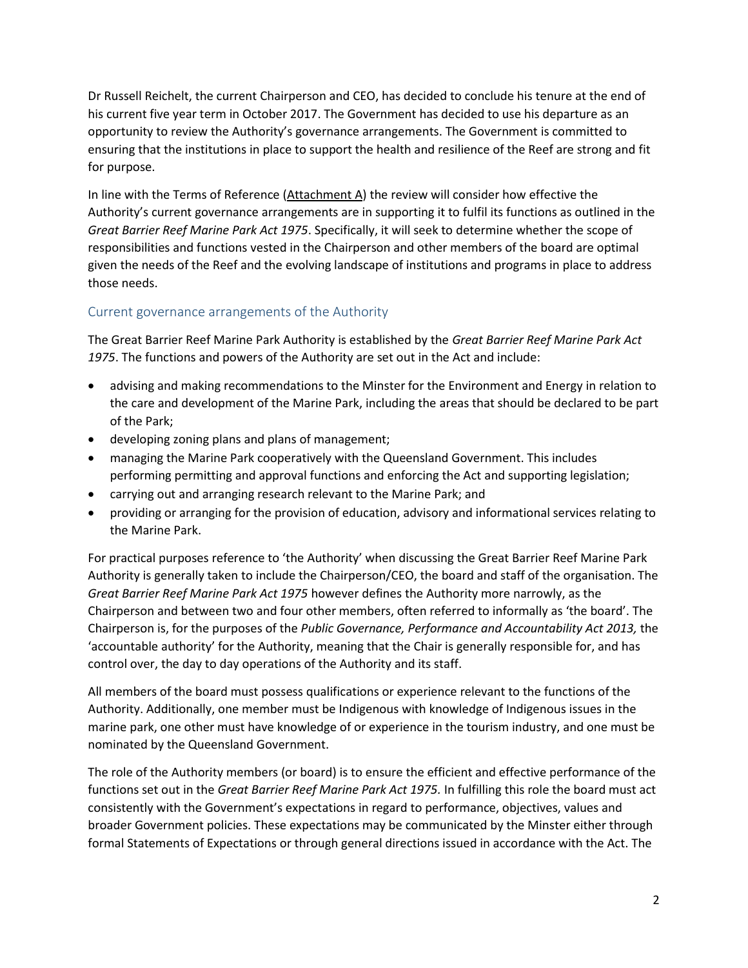Dr Russell Reichelt, the current Chairperson and CEO, has decided to conclude his tenure at the end of his current five year term in October 2017. The Government has decided to use his departure as an opportunity to review the Authority's governance arrangements. The Government is committed to ensuring that the institutions in place to support the health and resilience of the Reef are strong and fit for purpose.

In line with the Terms of Reference (Attachment A) the review will consider how effective the Authority's current governance arrangements are in supporting it to fulfil its functions as outlined in the *Great Barrier Reef Marine Park Act 1975*. Specifically, it will seek to determine whether the scope of responsibilities and functions vested in the Chairperson and other members of the board are optimal given the needs of the Reef and the evolving landscape of institutions and programs in place to address those needs.

## Current governance arrangements of the Authority

The Great Barrier Reef Marine Park Authority is established by the *Great Barrier Reef Marine Park Act 1975*. The functions and powers of the Authority are set out in the Act and include:

- advising and making recommendations to the Minster for the Environment and Energy in relation to the care and development of the Marine Park, including the areas that should be declared to be part of the Park;
- developing zoning plans and plans of management;
- managing the Marine Park cooperatively with the Queensland Government. This includes performing permitting and approval functions and enforcing the Act and supporting legislation;
- carrying out and arranging research relevant to the Marine Park; and
- providing or arranging for the provision of education, advisory and informational services relating to the Marine Park.

For practical purposes reference to 'the Authority' when discussing the Great Barrier Reef Marine Park Authority is generally taken to include the Chairperson/CEO, the board and staff of the organisation. The *Great Barrier Reef Marine Park Act 1975* however defines the Authority more narrowly, as the Chairperson and between two and four other members, often referred to informally as 'the board'. The Chairperson is, for the purposes of the *Public Governance, Performance and Accountability Act 2013,* the 'accountable authority' for the Authority, meaning that the Chair is generally responsible for, and has control over, the day to day operations of the Authority and its staff.

All members of the board must possess qualifications or experience relevant to the functions of the Authority. Additionally, one member must be Indigenous with knowledge of Indigenous issues in the marine park, one other must have knowledge of or experience in the tourism industry, and one must be nominated by the Queensland Government.

The role of the Authority members (or board) is to ensure the efficient and effective performance of the functions set out in the *Great Barrier Reef Marine Park Act 1975.* In fulfilling this role the board must act consistently with the Government's expectations in regard to performance, objectives, values and broader Government policies. These expectations may be communicated by the Minster either through formal Statements of Expectations or through general directions issued in accordance with the Act. The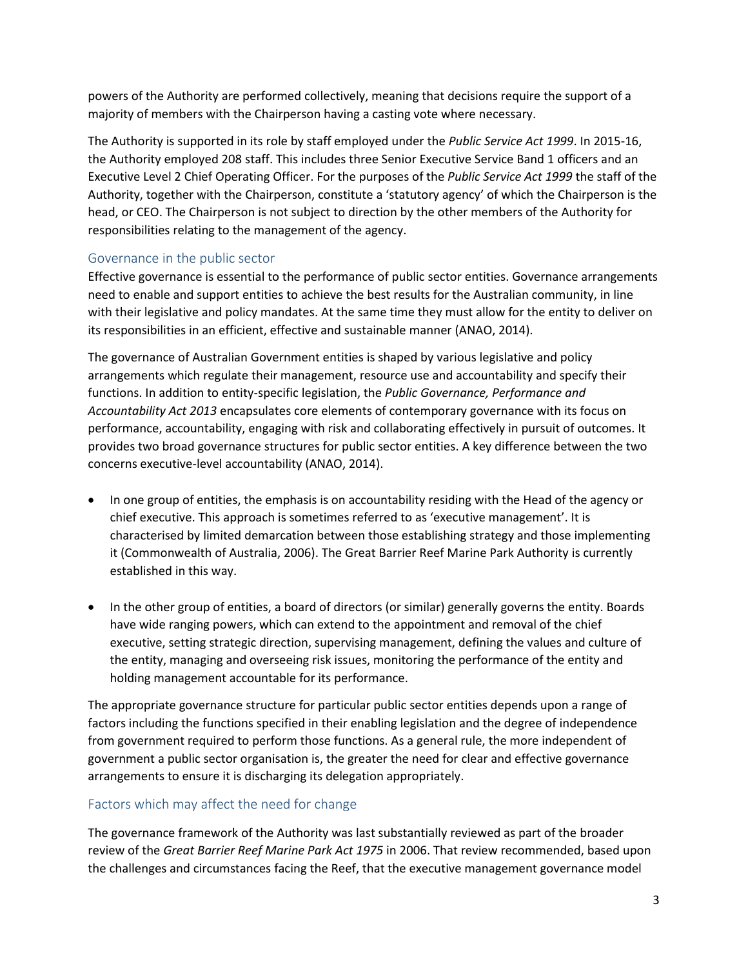powers of the Authority are performed collectively, meaning that decisions require the support of a majority of members with the Chairperson having a casting vote where necessary.

The Authority is supported in its role by staff employed under the *Public Service Act 1999*. In 2015-16, the Authority employed 208 staff. This includes three Senior Executive Service Band 1 officers and an Executive Level 2 Chief Operating Officer. For the purposes of the *Public Service Act 1999* the staff of the Authority, together with the Chairperson, constitute a 'statutory agency' of which the Chairperson is the head, or CEO. The Chairperson is not subject to direction by the other members of the Authority for responsibilities relating to the management of the agency.

## Governance in the public sector

Effective governance is essential to the performance of public sector entities. Governance arrangements need to enable and support entities to achieve the best results for the Australian community, in line with their legislative and policy mandates. At the same time they must allow for the entity to deliver on its responsibilities in an efficient, effective and sustainable manner (ANAO, 2014).

The governance of Australian Government entities is shaped by various legislative and policy arrangements which regulate their management, resource use and accountability and specify their functions. In addition to entity-specific legislation, the *Public Governance, Performance and Accountability Act 2013* encapsulates core elements of contemporary governance with its focus on performance, accountability, engaging with risk and collaborating effectively in pursuit of outcomes. It provides two broad governance structures for public sector entities. A key difference between the two concerns executive-level accountability (ANAO, 2014).

- In one group of entities, the emphasis is on accountability residing with the Head of the agency or chief executive. This approach is sometimes referred to as 'executive management'. It is characterised by limited demarcation between those establishing strategy and those implementing it (Commonwealth of Australia, 2006). The Great Barrier Reef Marine Park Authority is currently established in this way.
- In the other group of entities, a board of directors (or similar) generally governs the entity. Boards have wide ranging powers, which can extend to the appointment and removal of the chief executive, setting strategic direction, supervising management, defining the values and culture of the entity, managing and overseeing risk issues, monitoring the performance of the entity and holding management accountable for its performance.

The appropriate governance structure for particular public sector entities depends upon a range of factors including the functions specified in their enabling legislation and the degree of independence from government required to perform those functions. As a general rule, the more independent of government a public sector organisation is, the greater the need for clear and effective governance arrangements to ensure it is discharging its delegation appropriately.

## Factors which may affect the need for change

The governance framework of the Authority was last substantially reviewed as part of the broader review of the *Great Barrier Reef Marine Park Act 1975* in 2006. That review recommended, based upon the challenges and circumstances facing the Reef, that the executive management governance model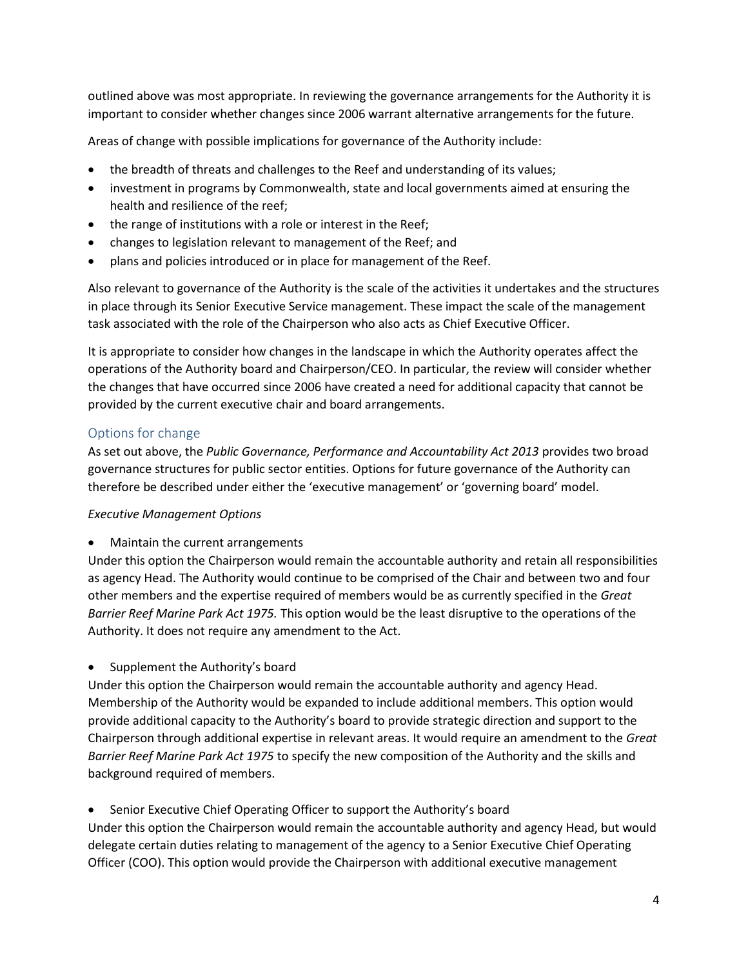outlined above was most appropriate. In reviewing the governance arrangements for the Authority it is important to consider whether changes since 2006 warrant alternative arrangements for the future.

Areas of change with possible implications for governance of the Authority include:

- the breadth of threats and challenges to the Reef and understanding of its values;
- investment in programs by Commonwealth, state and local governments aimed at ensuring the health and resilience of the reef;
- the range of institutions with a role or interest in the Reef;
- changes to legislation relevant to management of the Reef; and
- plans and policies introduced or in place for management of the Reef.

Also relevant to governance of the Authority is the scale of the activities it undertakes and the structures in place through its Senior Executive Service management. These impact the scale of the management task associated with the role of the Chairperson who also acts as Chief Executive Officer.

It is appropriate to consider how changes in the landscape in which the Authority operates affect the operations of the Authority board and Chairperson/CEO. In particular, the review will consider whether the changes that have occurred since 2006 have created a need for additional capacity that cannot be provided by the current executive chair and board arrangements.

## Options for change

As set out above, the *Public Governance, Performance and Accountability Act 2013* provides two broad governance structures for public sector entities. Options for future governance of the Authority can therefore be described under either the 'executive management' or 'governing board' model.

#### *Executive Management Options*

Maintain the current arrangements

Under this option the Chairperson would remain the accountable authority and retain all responsibilities as agency Head. The Authority would continue to be comprised of the Chair and between two and four other members and the expertise required of members would be as currently specified in the *Great Barrier Reef Marine Park Act 1975.* This option would be the least disruptive to the operations of the Authority. It does not require any amendment to the Act.

Supplement the Authority's board

Under this option the Chairperson would remain the accountable authority and agency Head. Membership of the Authority would be expanded to include additional members. This option would provide additional capacity to the Authority's board to provide strategic direction and support to the Chairperson through additional expertise in relevant areas. It would require an amendment to the *Great Barrier Reef Marine Park Act 1975* to specify the new composition of the Authority and the skills and background required of members.

• Senior Executive Chief Operating Officer to support the Authority's board

Under this option the Chairperson would remain the accountable authority and agency Head, but would delegate certain duties relating to management of the agency to a Senior Executive Chief Operating Officer (COO). This option would provide the Chairperson with additional executive management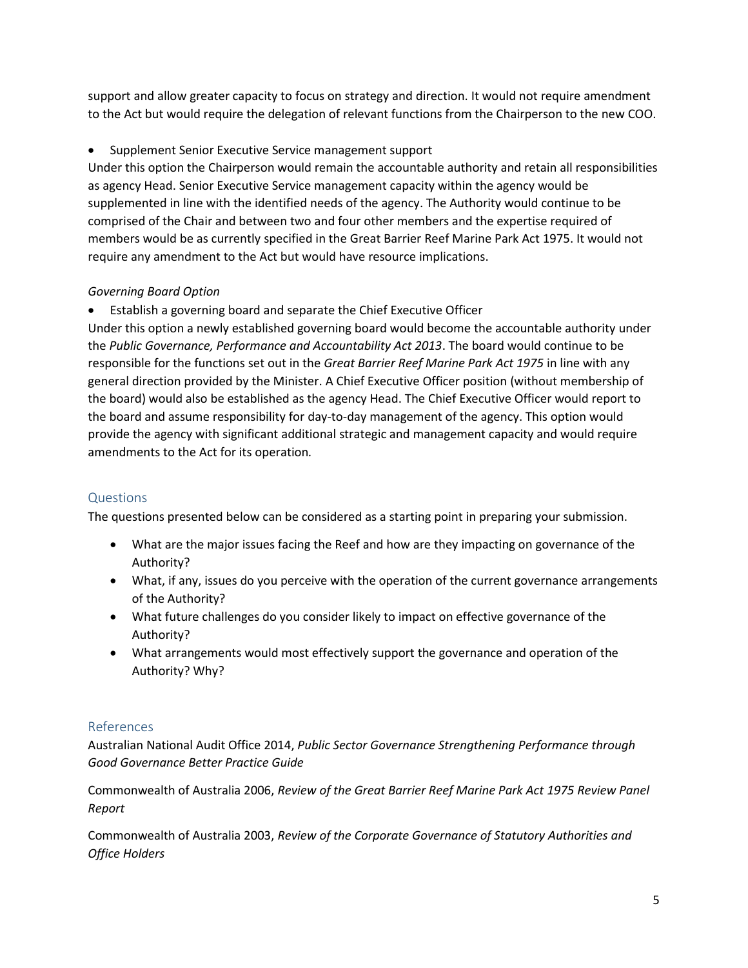support and allow greater capacity to focus on strategy and direction. It would not require amendment to the Act but would require the delegation of relevant functions from the Chairperson to the new COO.

## Supplement Senior Executive Service management support

Under this option the Chairperson would remain the accountable authority and retain all responsibilities as agency Head. Senior Executive Service management capacity within the agency would be supplemented in line with the identified needs of the agency. The Authority would continue to be comprised of the Chair and between two and four other members and the expertise required of members would be as currently specified in the Great Barrier Reef Marine Park Act 1975. It would not require any amendment to the Act but would have resource implications.

## *Governing Board Option*

Establish a governing board and separate the Chief Executive Officer

Under this option a newly established governing board would become the accountable authority under the *Public Governance, Performance and Accountability Act 2013*. The board would continue to be responsible for the functions set out in the *Great Barrier Reef Marine Park Act 1975* in line with any general direction provided by the Minister. A Chief Executive Officer position (without membership of the board) would also be established as the agency Head. The Chief Executive Officer would report to the board and assume responsibility for day-to-day management of the agency. This option would provide the agency with significant additional strategic and management capacity and would require amendments to the Act for its operation*.* 

# Questions

The questions presented below can be considered as a starting point in preparing your submission.

- What are the major issues facing the Reef and how are they impacting on governance of the Authority?
- What, if any, issues do you perceive with the operation of the current governance arrangements of the Authority?
- What future challenges do you consider likely to impact on effective governance of the Authority?
- What arrangements would most effectively support the governance and operation of the Authority? Why?

# References

Australian National Audit Office 2014, *Public Sector Governance Strengthening Performance through Good Governance Better Practice Guide*

Commonwealth of Australia 2006, *Review of the Great Barrier Reef Marine Park Act 1975 Review Panel Report*

Commonwealth of Australia 2003, *Review of the Corporate Governance of Statutory Authorities and Office Holders*